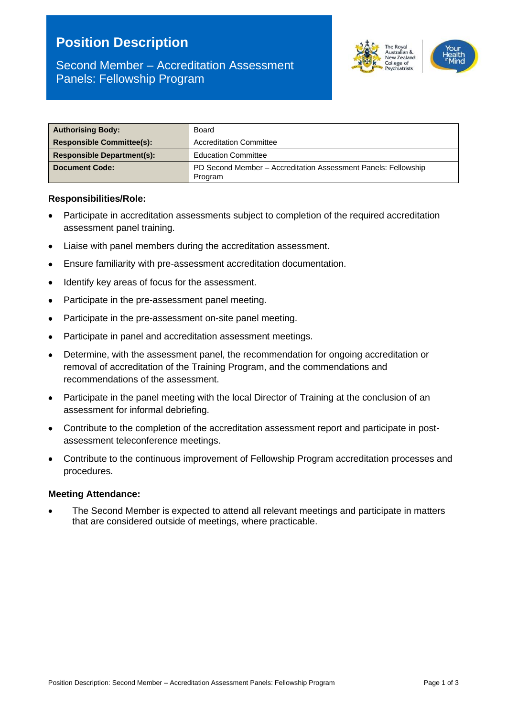# **Position Description**



# Second Member – Accreditation Assessment Panels: Fellowship Program

| <b>Authorising Body:</b>          | Board                                                                     |  |
|-----------------------------------|---------------------------------------------------------------------------|--|
| <b>Responsible Committee(s):</b>  | <b>Accreditation Committee</b>                                            |  |
| <b>Responsible Department(s):</b> | <b>Education Committee</b>                                                |  |
| <b>Document Code:</b>             | PD Second Member - Accreditation Assessment Panels: Fellowship<br>Program |  |

#### **Responsibilities/Role:**

- Participate in accreditation assessments subject to completion of the required accreditation assessment panel training.
- Liaise with panel members during the accreditation assessment.
- Ensure familiarity with pre-assessment accreditation documentation.
- Identify key areas of focus for the assessment.
- Participate in the pre-assessment panel meeting.
- Participate in the pre-assessment on-site panel meeting.
- Participate in panel and accreditation assessment meetings.
- Determine, with the assessment panel, the recommendation for ongoing accreditation or removal of accreditation of the Training Program, and the commendations and recommendations of the assessment.
- Participate in the panel meeting with the local Director of Training at the conclusion of an assessment for informal debriefing.
- Contribute to the completion of the accreditation assessment report and participate in postassessment teleconference meetings.
- Contribute to the continuous improvement of Fellowship Program accreditation processes and procedures.

#### **Meeting Attendance:**

• The Second Member is expected to attend all relevant meetings and participate in matters that are considered outside of meetings, where practicable.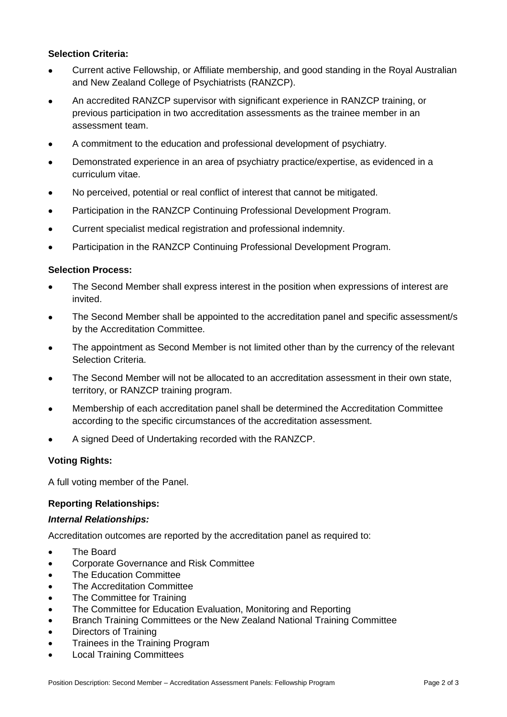# **Selection Criteria:**

- Current active Fellowship, or Affiliate membership, and good standing in the Royal Australian and New Zealand College of Psychiatrists (RANZCP).
- An accredited RANZCP supervisor with significant experience in RANZCP training, or previous participation in two accreditation assessments as the trainee member in an assessment team.
- A commitment to the education and professional development of psychiatry.
- Demonstrated experience in an area of psychiatry practice/expertise, as evidenced in a curriculum vitae.
- No perceived, potential or real conflict of interest that cannot be mitigated.
- Participation in the RANZCP Continuing Professional Development Program.
- Current specialist medical registration and professional indemnity.
- Participation in the RANZCP Continuing Professional Development Program.

### **Selection Process:**

- The Second Member shall express interest in the position when expressions of interest are invited.
- The Second Member shall be appointed to the accreditation panel and specific assessment/s by the Accreditation Committee.
- The appointment as Second Member is not limited other than by the currency of the relevant Selection Criteria.
- The Second Member will not be allocated to an accreditation assessment in their own state, territory, or RANZCP training program.
- Membership of each accreditation panel shall be determined the Accreditation Committee according to the specific circumstances of the accreditation assessment.
- A signed Deed of Undertaking recorded with the RANZCP.

### **Voting Rights:**

A full voting member of the Panel.

### **Reporting Relationships:**

#### *Internal Relationships:*

Accreditation outcomes are reported by the accreditation panel as required to:

- The Board
- Corporate Governance and Risk Committee
- The Education Committee
- The Accreditation Committee
- The Committee for Training
- The Committee for Education Evaluation, Monitoring and Reporting
- Branch Training Committees or the New Zealand National Training Committee
- Directors of Training
- Trainees in the Training Program
- Local Training Committees